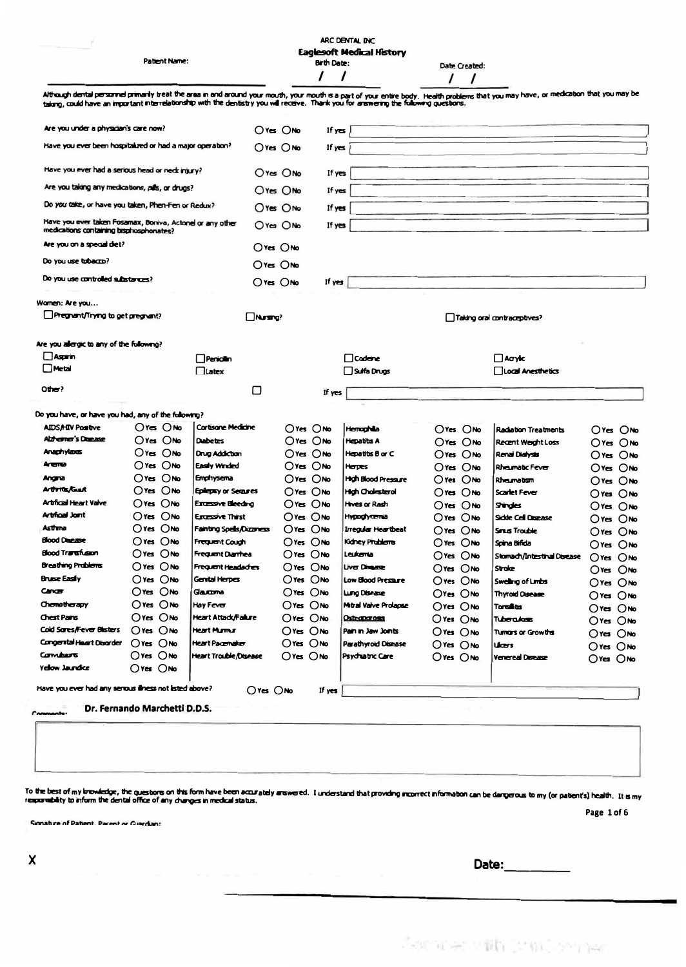|                                                                                                                                         | Patient Name:                 |                                 |                |                | <b>Birth Date:</b> | ARC DENTAL INC<br><b>Eaglesoft Medical History</b> |                | Date Created:  |                                                                                                                                                                                         |                |
|-----------------------------------------------------------------------------------------------------------------------------------------|-------------------------------|---------------------------------|----------------|----------------|--------------------|----------------------------------------------------|----------------|----------------|-----------------------------------------------------------------------------------------------------------------------------------------------------------------------------------------|----------------|
| talong, could have an important interrelationship with the dentistry you will receive. Thank you for answering the following questions. |                               |                                 |                |                |                    |                                                    |                |                | Although dental personnel primarily treat the area in and around your mouth, your mouth is a part of your entire body. Health problems that you may have, or medication that you may be |                |
| Are you under a physician's care now?                                                                                                   |                               |                                 | $O$ Yes $O$ No |                | If yes             |                                                    |                |                |                                                                                                                                                                                         |                |
| Have you ever been hospitalized or had a major operation?                                                                               |                               |                                 | $O$ Yes $O$ No |                | If $y \in S$       |                                                    |                |                |                                                                                                                                                                                         |                |
| Have you ever had a serious head or neck injury?                                                                                        |                               |                                 | $O$ Yes $O$ No |                | If yes             |                                                    |                |                |                                                                                                                                                                                         |                |
| Are you taking any medications, pills, or drugs?                                                                                        |                               |                                 | $O$ Yes $O$ No |                | If yes             |                                                    |                |                |                                                                                                                                                                                         |                |
| Do you take, or have you taken, Phen-Fen or Redux?                                                                                      |                               |                                 | $O$ Yes $O$ No |                | If yes             |                                                    |                |                |                                                                                                                                                                                         |                |
| Have you ever taken Fosamax, Boriva, Actonel or any other<br>medications containing bisphosphonates?                                    |                               |                                 | $O$ Yes $O$ No |                | If yes             |                                                    |                |                |                                                                                                                                                                                         |                |
| Are you on a special diet?                                                                                                              |                               |                                 | $O$ Yes $O$ No |                |                    |                                                    |                |                |                                                                                                                                                                                         |                |
| Do you use tobacco?                                                                                                                     |                               |                                 | $O$ Yes $O$ No |                |                    |                                                    |                |                |                                                                                                                                                                                         |                |
| Do you use controlled substances?                                                                                                       |                               |                                 | $O$ Yes $O$ No |                | If yes             |                                                    |                |                |                                                                                                                                                                                         |                |
| Warnen: Are you                                                                                                                         |                               |                                 |                |                |                    |                                                    |                |                |                                                                                                                                                                                         |                |
| Pregnant/Trying to get pregnant?                                                                                                        |                               |                                 | Nursing?       |                |                    |                                                    |                |                | $\Box$ Taking oral contraceptives?                                                                                                                                                      |                |
| Are you allergic to any of the following?                                                                                               |                               |                                 |                |                |                    |                                                    |                |                |                                                                                                                                                                                         |                |
| $\Box$ Aspirin                                                                                                                          |                               | $\Box$ Penicilin                |                |                |                    | □Cadeine                                           |                |                | $\Box$ Acryic                                                                                                                                                                           |                |
| <b>Metal</b>                                                                                                                            |                               | Latex                           |                |                |                    | ∐ Sulfa Drugs                                      |                |                | Llocal Anesthetics                                                                                                                                                                      |                |
| Other?                                                                                                                                  |                               |                                 | □              |                | If yes             |                                                    |                |                |                                                                                                                                                                                         |                |
| Do you have, or have you had, any of the following?                                                                                     |                               |                                 |                |                |                    |                                                    |                |                |                                                                                                                                                                                         |                |
| <b>AIDS/HIV Positive</b>                                                                                                                | Ores Onlo                     | Cortisone Medicine              |                |                | $O$ Yes $O$ No     | <b>Hemoghilla</b>                                  |                | $O$ Yes $O$ No | <b>Radation Treatments</b>                                                                                                                                                              | $O$ Yes $O$ No |
| Alzhemer's Deezee                                                                                                                       | $O$ Yes $O$ No                | <b>Dabetes</b>                  |                |                | $O$ Yes $O$ No     | <b>Hepatitis A</b>                                 |                | $O$ Yes $O$ No | <b>Recent Weight Loss</b>                                                                                                                                                               | $O$ Yes $O$ No |
| Anaphylaxas                                                                                                                             | $O$ Yes $O$ No                | <b>Drug Addiction</b>           |                |                | $O$ Yes $O$ No     | Hepatitis B or C                                   |                | $O$ Yes $O$ No | Renal Dialysis                                                                                                                                                                          | $O$ Yes $O$ No |
| Arenua                                                                                                                                  | $O$ Yes $O$ No                | Easily Winded                   |                |                | Oves Ono           | Herpes                                             | $O$ Yes $O$ No |                | Rhaumatic Fever                                                                                                                                                                         | $O$ Yes $O$ No |
| Angra                                                                                                                                   | $O$ Yes $O$ No                | Emphysema                       |                |                | $O$ Yes $O$ No     | <b>High Blood Pressure</b>                         | $O$ Yes $O$ No |                | Rheumatism                                                                                                                                                                              | Ores Ono       |
| <b>Arthrite/Grant</b>                                                                                                                   | $O$ Yes $O$ No                | Epilepsy or Setaures            |                |                | $O$ Yes $O$ No     | <b>High Chalasterol</b>                            | $O$ Yes $O$ No |                | Scarlet Fever                                                                                                                                                                           | $O$ Yes $O$ No |
| <b>Artificial Heart Valve</b>                                                                                                           | Oves Ono                      | Exussive Bleeding               |                |                | $O$ res $O$ No     | Hrves or Rash                                      | $O$ Yes $O$ No |                | <b>Strates</b>                                                                                                                                                                          | Ores Ono       |
| <b>Artifical Joint</b>                                                                                                                  | Ores Ono                      | Excessive Thirst                |                | $O$ Yes $O$ No |                    | <b>Hypoglycenia</b>                                | Ores Ono       |                | <b>Sidde Cell Disease</b>                                                                                                                                                               |                |
| Asthma                                                                                                                                  | Oves Ono                      | <b>Fainting Spells/Dizzmess</b> |                | $O$ Yes $O$ No |                    | Irregular Heartbeat                                | Ores Ono       |                | <b>Sinus Trouble</b>                                                                                                                                                                    | Ores Ono       |
| <b>Blood Disease</b>                                                                                                                    | Ores Ono                      | <b>Frequent Cough</b>           |                | Oves ONo       |                    | Kidney Problems                                    | $O$ Yes $O$ No |                | Spina Bifida                                                                                                                                                                            | $O$ Yes $O$ No |
| Blood Transfusion                                                                                                                       | $O$ Yes $O$ No                | Frequent Diarrhea               |                | $O$ Yes $O$ No |                    | Leukemia                                           | $O$ res $O$ No |                | Storrach/Intestinal Disease                                                                                                                                                             | Ores ONo       |
| <b>Breathing Problems</b>                                                                                                               | $O$ Yes $O$ No                | Frequent Headaches              |                | $O$ Yes $O$ No |                    | Liver Director                                     | $O$ res $O$ No |                | Stroke                                                                                                                                                                                  | $O$ Yes $O$ No |
| <b>Bruise Easily</b>                                                                                                                    | $O$ res $O$ No                | Gental Herpes                   |                | $O$ Yes $O$ No |                    | Low Blood Pressure                                 | $O$ Yes $O$ No |                |                                                                                                                                                                                         | $O$ Yes $O$ No |
| Cancer                                                                                                                                  | Ores ONo                      | Gaucona                         |                | $O$ Yes $O$ No |                    | Lung Disease                                       | $O$ Yes $O$ No |                | Swelling of Limbs                                                                                                                                                                       | $O$ Yes $O$ No |
| Chomotherapy                                                                                                                            | $O$ Yes $O$ No                | Hay Fever                       |                | Ores Onlo      |                    | Mitral Valve Prolapse                              |                |                | <b>Thyroid Oisease</b>                                                                                                                                                                  | Oves ONo       |
| Chest Pains                                                                                                                             | $O$ Yes $O$ No                | Heart Attack/Failure            |                | $O$ res $O$ No |                    | Osteoporosis                                       | $O$ Yes $O$ No |                | Toralis                                                                                                                                                                                 | $O$ Yes $O$ No |
| Cold Sares/Fever Blisters                                                                                                               | $O$ res $O$ No                | <b>Heart Murmur</b>             |                | $O$ Yes $O$ No |                    | Pain in Jaw Joints                                 | $O$ Yes $O$ No |                | Tuberadasis                                                                                                                                                                             | $O$ Yes $O$ No |
| Congental Heart Disorder                                                                                                                | $O$ Yes $O$ No                | <b>Heart Pacemaker</b>          |                | Ores Onlo      |                    |                                                    | $O$ Yes $O$ No |                | Turrars or Growths                                                                                                                                                                      | $O$ Yes $O$ No |
| Combiers                                                                                                                                | $O$ Yes $O$ No                | <b>Heart Trouble/Disease</b>    |                | $O$ Yes $O$ No |                    | Parathyroid Disease                                | $O$ Yes $O$ No |                | Ucers                                                                                                                                                                                   | $O$ res $O$ No |
| Yelow Jaundice                                                                                                                          | $O$ Yes $O$ No                |                                 |                |                |                    | Psychiatric Care                                   | $O$ res $O$ No |                | Venereal Disease                                                                                                                                                                        | Ores Onto      |
| Have you ever had any senous illness not listed above?                                                                                  |                               |                                 | $O$ Yes $O$ No |                | If yes             |                                                    |                |                |                                                                                                                                                                                         |                |
| omments:                                                                                                                                | Dr. Fernando Marchetti D.D.S. |                                 |                |                |                    |                                                    |                |                |                                                                                                                                                                                         |                |
|                                                                                                                                         |                               |                                 |                |                |                    |                                                    |                |                |                                                                                                                                                                                         |                |
|                                                                                                                                         |                               |                                 |                |                |                    |                                                    |                |                |                                                                                                                                                                                         |                |

To the best of my browledge, the questors on this form have been accurately arewered. I understand that providing incorrect information can be dangerous to my (or patient's) health. It is my<br>responsibility to inform the de Page 1 of 6

Signature of Patient. Parent or Guardan:

| Date: |  |
|-------|--|
|       |  |

Service with Drawing travel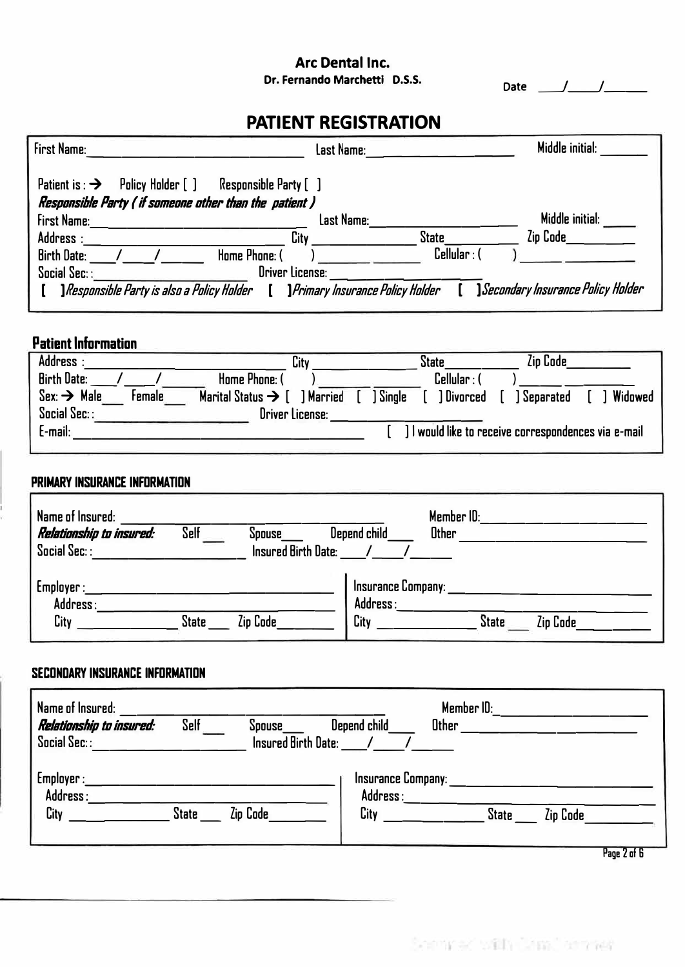# **Arc Dental Inc.**<br>Dr. Fernando Marchetti D.S.S.

Date \_\_*j\_\_\_j\_\_\_* 

## **PATIENT REGISTRATION**

| First Name:                                                              | Last Name:                                             | Middle initial:                          |
|--------------------------------------------------------------------------|--------------------------------------------------------|------------------------------------------|
| Policy Holder [ ]<br>Responsible Party [ ]<br>Patient is : $\rightarrow$ |                                                        |                                          |
| Responsible Party ( if someone other than the patient )                  |                                                        |                                          |
| First Name:                                                              | Last Name:                                             | Middle initial:                          |
| Address:<br>City                                                         | <b>State</b>                                           | Zip Code                                 |
| Home Phone: (<br><b>Birth Date:</b>                                      | Cellular:                                              |                                          |
| Social Sec.:<br><b>Oriver License:</b>                                   |                                                        |                                          |
| <b>] Responsible Party is also a Policy Holder</b>                       | <i><u><b>] Primary Insurance Policy Holder</b></u></i> | <i>Secondary Insurance Policy Holder</i> |

### **Patient Information**

| Address :                         | City                                     |          | State           | Zip Code                                             |           |
|-----------------------------------|------------------------------------------|----------|-----------------|------------------------------------------------------|-----------|
| <b>Birth Date:</b>                | Home Phone: (                            |          | $C$ ellular : ( |                                                      |           |
| $Sex. \rightarrow$ Male<br>Female | Marital Status $\rightarrow$ [ ] Married | 1 Sinale | ) Divorced      | <b>Separated</b>                                     | 1 Widowed |
| Social Sec: :                     | <b>Oriver License:</b>                   |          |                 |                                                      |           |
| E-mail:                           |                                          |          |                 | . I would like to receive correspondences via e-mail |           |
|                                   |                                          |          |                 |                                                      |           |

#### **PRIMARY INSURANCE INFORMATION**

| Name of Insured:<br>Relationship to insured:<br>$S$ ocial $S$ ec $::$ | Self         | Spouse<br><b>Insured Birth Date:</b> | Depend child                           | Member ID:<br><b>Other</b> |              |          |
|-----------------------------------------------------------------------|--------------|--------------------------------------|----------------------------------------|----------------------------|--------------|----------|
| Emplayer:<br>Address:<br>City                                         | <b>State</b> | Zip Code                             | Insurance Company:<br>Address:<br>City |                            | <b>State</b> | Zip Code |

### **SECONDARY INSURANCE INFORMATION**

| Name of Insured:<br>Relationship to insured:<br>Social Sec: : | Depend child<br>Self<br><b>Spouse</b><br><b>Insured Birth Date:</b> | Member ID:<br>Other |
|---------------------------------------------------------------|---------------------------------------------------------------------|---------------------|
| Employer :                                                    | <b>Insurance Company:</b>                                           | <b>State</b>        |
| Address:                                                      | Address:                                                            | Zip Code            |
| City                                                          | Zip Code                                                            | п.                  |
| <b>State</b>                                                  | City                                                                | $n \cdot n$         |

**Page 2 of 6**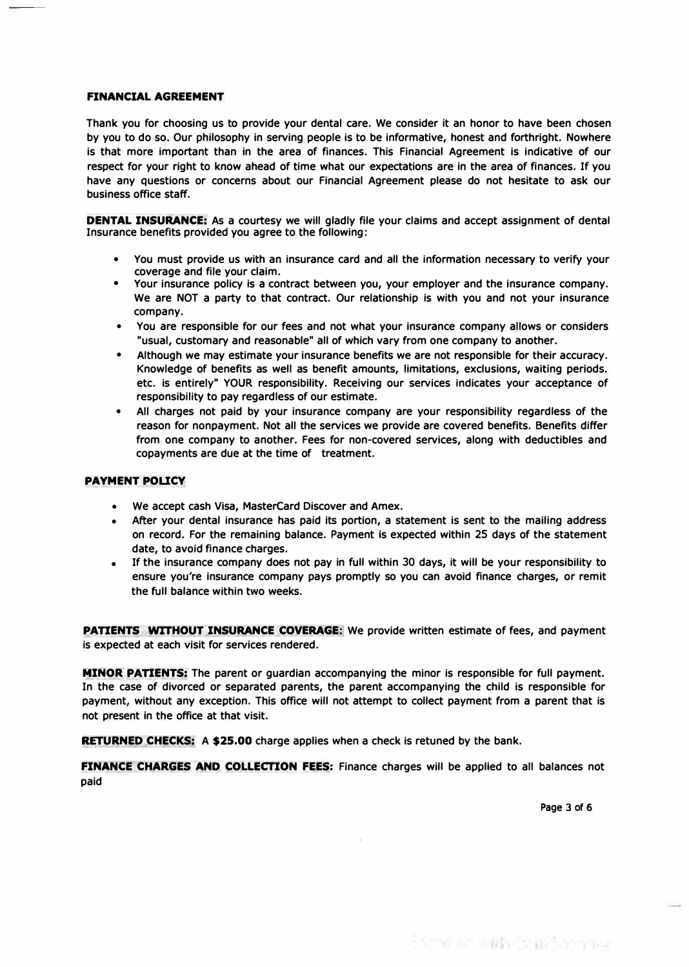#### **FINANCIAL AGREEMENT**

**Thank you for choosing us to provide your dental care. We consider it an honor to have been chosen by you to do so. Our philosophy in serving people is to be informative, honest and forthright. Nowhere is that more important than in the area of finances. This Financial Agreement is indicative of our respect for your right to know ahead of time what our expectations are in the area of finances. If you have any questions or concerns about our Financial Agreement please do not hesitate to ask our business office staff.** 

**DENTAL INSURANCE:** As a courtesy we will gladly file your claims and accept assignment of dental **Insurance benefits provided you agree to the following:** 

- **• You must provide us with an Insurance card and all the Information necessary to verify your coverage and file your claim.**
- **• Your insurance policy is a contract between you, your employer and the insurance company. We are NOT a party to that contract. Our relationship is with you and not your insurance company.**
- **• You are responsible for our fees and not what your insurance company allows or considers "usual, customary and reasonable" all of which vary from one company to another.**
- **• Although we may estimate your insurance benefits we are not responsible for their accuracy. Knowledge of benefits as well as benefit amounts, limitations, exclusions, waiting periods. etc. is entirely" YOUR responsibility. Receiving our services Indicates your acceptance of responsibility to pay regardless of our estimate.**
- **• All charges not paid by your insurance company are your responsibility regardless of the reason for nonpayment. Not all the services we provide are covered benefits. Benefits differ from one company to another. Fees for non-covered services, along with deductibles and copayments are due at the time of treatment.**

#### **PAYMENT POLICY**

- **• We accept cash Visa, MasterCard Discover and Amex.**
- **• After your dental Insurance has paid its portion, a statement is sent to the mailing address on record. For the remaining balance. Payment Is expected within 25 days of the statement date, to avoid finance charges.**
- **• If the insurance company does not pay in full within 30 days, it will be your responsibility to ensure you're insurance company pays promptly so you can avoid finance charges, or remit the full balance within two weeks.**

**PATIENTS WITHOUT INSURANCE COVERAGE:** We provide written estimate of fees, and payment **is expected at each visit for services rendered.** 

**MINOR PATIENTS: The parent or guardian accompanying the minor is responsible for full payment. In the case of divorced or separated parents, the parent accompanying the child is responsible for payment, without any exception. This office will not attempt to collect payment from a parent that is**  not present in the office at that visit.

**RETURNED CHECKS: A \$25.00 charge applies when a check is retuned by the bank.** 

**FINANCE CHARGES AND COLLECTION FEES:** Finance charges will be applied to all balances not **paid** 

**Page 3 of 6**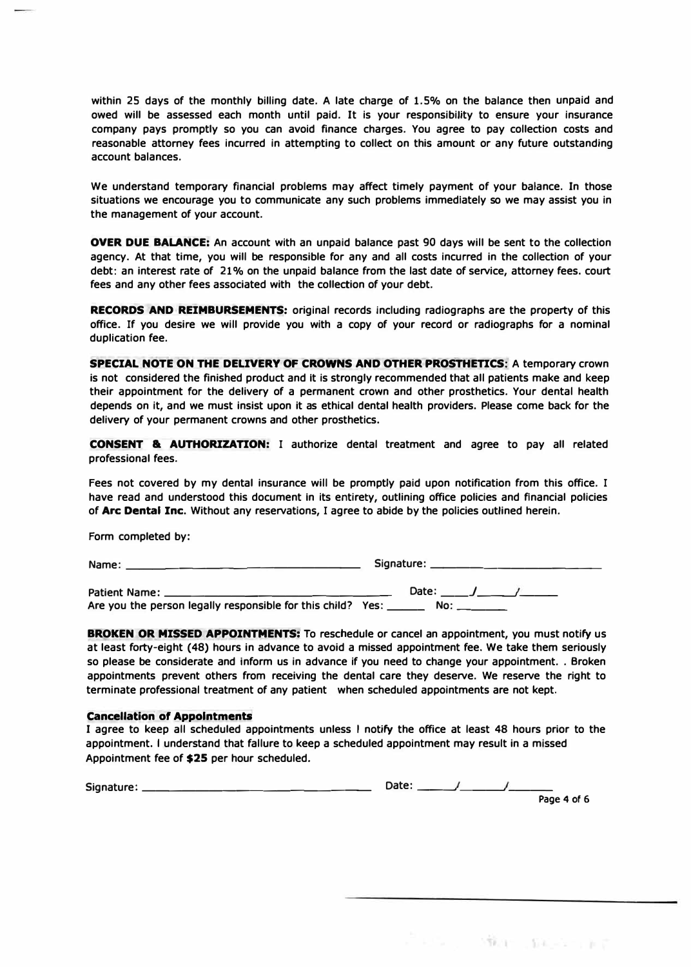**within 25 days of the monthly billing date. A late charge of 1.5% on the balance then unpaid and owed will be assessed each month until paid. It is your responsibility to ensure your insurance company pays promptly so you can avoid finance charges. You agree to pay collection costs and reasonable attorney fees incurred in attempting to collect on this amount or any future outstanding account balances.** 

**We understand temporary financial problems may affect timely payment of your balance. In those situations we encourage you to communicate any such problems immediately so we may assist you in the management of your account.** 

**OVER DUE BALANCE:** An account with an unpaid balance past 90 days will be sent to the collection **agency. At that time, you will be responsible for any and all costs incurred in the collection of your debt: an interest rate of 21 % on the unpaid balance from the last date of service, attorney fees. court fees and any other fees associated with the collection of your debt.** 

**RECORDS AND REIMBURSEMENTS: original records Including radiographs are the property of this office. If you desire we will provide you with a copy of your record or radiographs for a nominal duplication fee.** 

**SPECIAL NOTE ON THE DELIVERY OF CROWNS AND OTHER PROSTHETICS: A temporary crown is not considered the finished product and It is strongly recommended that all patients make and keep their appointment for the delivery of a permanent crown and other prosthetics. Your dental health depends on it, and we must insist upon it as ethical dental health providers. Please come back for the delivery of your permanent crowns and other prosthetics.** 

**CONSENT & AUTHORIZATION: I authorize dental treatment and agree to pay all related professional fees.** 

Fees not covered by my dental insurance will be promptly paid upon notification from this office. I **have read and understood this document In its entirety, outlining office policies and financial policies of Arc Dental Inc. Without any reservations, I agree to abide by the policies outlined herein.** 

**Form completed by:** 

**Name: \_\_\_\_\_\_\_\_\_\_\_\_\_\_\_\_ \_ Signature: \_\_\_\_\_\_\_\_\_\_\_\_ \_** 

**Patient Name:\_\_\_\_\_\_\_\_\_\_\_\_\_\_\_\_\_ Date:\_\_\_\_/ \_\_ \_, \_\_ \_**  Are you the person legally responsible for this child? Yes: \_\_

**BROKEN OR MISSED APPOINTMENTS: To reschedule or cancel an appointment, you must notify us at least forty-eight (48) hours in advance to avoid a missed appointment fee. We take them seriously**  so please be considerate and inform us in advance if you need to change your appointment. . Broken **appointments prevent others from receiving the dental care they deserve. We reserve the right to terminate professional treatment of any patient when scheduled appointments are not kept.** 

#### **Cancellation of Appointments**

**I agree to keep all scheduled appointments unless I notify the office at least 48 hours prior to the appointment. I understand that fallure to keep a scheduled appointment may result in a missed Appointment fee of \$25 per hour scheduled.** 

| Signature: | Date: |             |
|------------|-------|-------------|
|            |       | Page 4 of 6 |

2般度 (482-37) 新花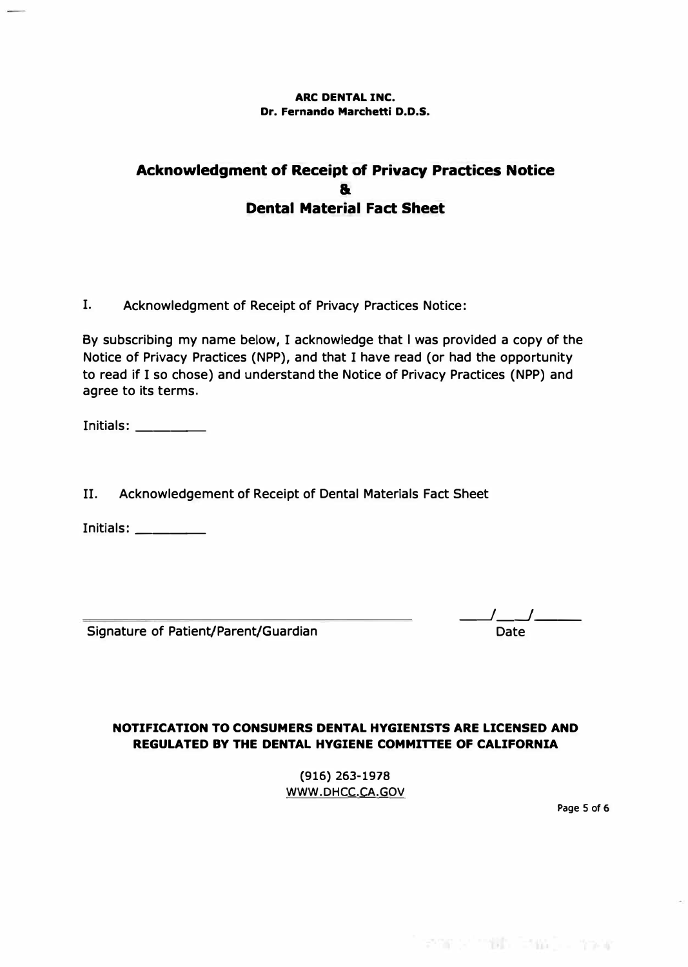#### **ARC DENTAL INC. Dr. Fernando Marchetti D.D.S.**

## **Acknowledgment of Receipt of Privacy Practices Notice & Dental Material Fact Sheet**

**I. Acknowledgment of Receipt of Privacy Practices Notice:**

**By subscribing my name below, I acknowledge that I was provided a copy of the Notice of Privacy Practices (NPP), and that I have read (or had the opportunity to read if I so chose) and understand the Notice of Privacy Practices (NPP) and agree to its terms.** 

**Initials: \_\_\_ \_** 

**II. Acknowledgement of Receipt of Dental Materials Fact Sheet**

**Initials: \_\_\_ \_** 

**Signature of Patient/Parent/Guardian** 

**\_\_J\_\_j \_\_ Date** 

reme or math. Teas (i.e. move

### **NOTIFICATION TO CONSUMERS DENTAL HYGIENISTS ARE LICENSED AND REGULATED BY THE DENTAL HYGIENE COMMITTEE OF CALIFORNIA**

**(916) 263-1978 WWW.DHCC.CA.GOV** 

**Page 5 of 6**